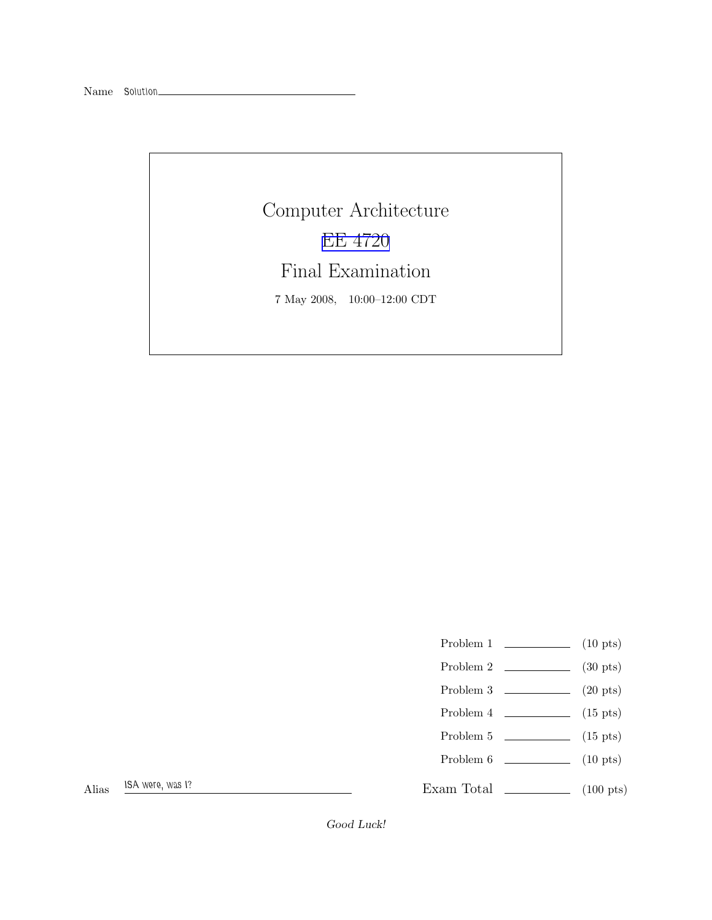Name Solution\_

Computer Architecture [EE 4720](http://www.ece.lsu.edu/ee4720/) Final Examination 7 May 2008, 10:00–12:00 CDT

- Problem 1  $\qquad \qquad$  (10 pts)
- Problem 2 (30 pts)
- Problem  $3 \t\t(20 \text{ pts})$
- Problem 4  $\qquad \qquad$  (15 pts)
- Problem  $5 \t\t(15 \text{ pts})$
- Problem 6 (10 pts)

Exam Total (100 pts)

Alias ISA were, was I?

Good Luck!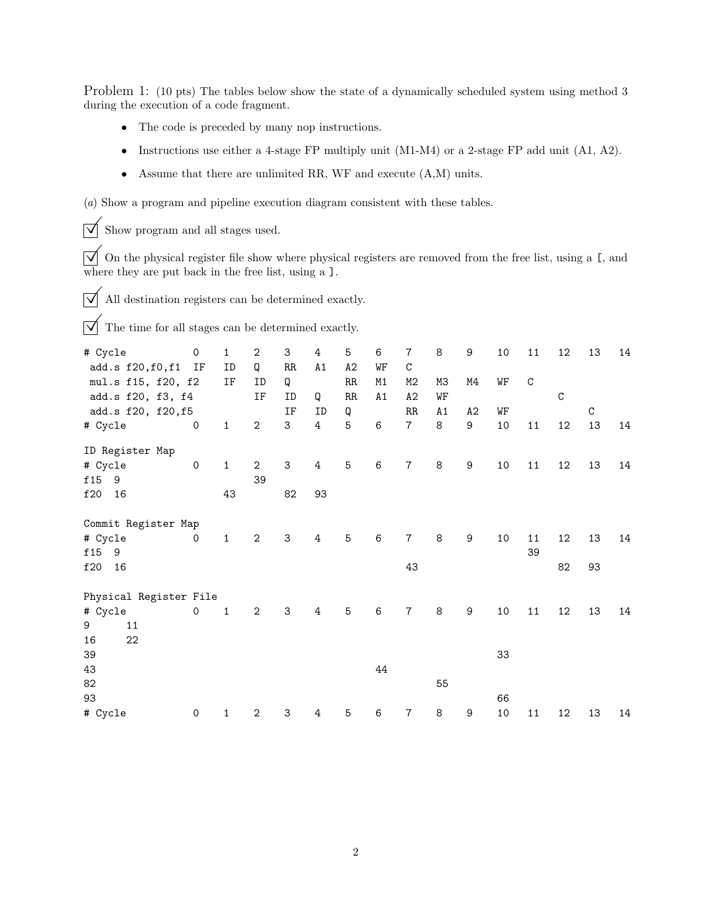Problem 1: (10 pts) The tables below show the state of a dynamically scheduled system using method 3 during the execution of a code fragment.

- The code is preceded by many nop instructions.
- Instructions use either a 4-stage FP multiply unit (M1-M4) or a 2-stage FP add unit (A1, A2).
- Assume that there are unlimited RR, WF and execute (A,M) units.

(a) Show a program and pipeline execution diagram consistent with these tables.

 $\triangledown$  Show program and all stages used.

 $\overline{\checkmark}$  On the physical register file show where physical registers are removed from the free list, using a [, and where they are put back in the free list, using a ].

 $\overrightarrow{\bigvee}$  All destination registers can be determined exactly.

 $\overrightarrow{\mathbf{q}}$  The time for all stages can be determined exactly.

| # Cycle                | $\mathbf 0$         | $\mathbf{1}$ | $\,2$                     | 3                   | 4              | 5        | 6        | 7              | 8        | $\boldsymbol{9}$ | $10\,$ | $11\,$       | 12       | 13 | 14 |
|------------------------|---------------------|--------------|---------------------------|---------------------|----------------|----------|----------|----------------|----------|------------------|--------|--------------|----------|----|----|
| add.s f20, f0, f1 IF   |                     | ID           | Q                         | $\rm RR$            | A1             | A2       | WF       | $\rm C$        |          |                  |        |              |          |    |    |
| mul.s f15, f20, f2     |                     | IF           | ID<br>$\operatorname{IF}$ | Q<br>ID             | Q              | RR<br>RR | M1<br>A1 | M2<br>A2       | M3<br>WF | M4               | WF     | $\mathtt{C}$ | $\rm{C}$ |    |    |
| add.s f20, f3, f4      |                     |              |                           | $\operatorname{IF}$ | ID             |          |          | RR             | A1       | A2               | WF     |              |          | C  |    |
| add.s f20, f20, f5     | $\mathbf 0$         | $\mathbf{1}$ | $\overline{2}$            | 3                   | $\overline{4}$ | Q<br>5   | 6        | $\overline{7}$ | $\,8\,$  | 9                | 10     | 11           | 12       | 13 | 14 |
| # Cycle                |                     |              |                           |                     |                |          |          |                |          |                  |        |              |          |    |    |
| ID Register Map        |                     |              |                           |                     |                |          |          |                |          |                  |        |              |          |    |    |
| # Cycle                | $\mathsf{O}\xspace$ | $1\,$        | $\mathbf{2}$              | 3                   | 4              | 5        | 6        | $\overline{7}$ | $\,8\,$  | $\boldsymbol{9}$ | 10     | $11\,$       | 12       | 13 | 14 |
| f15<br>9               |                     |              | 39                        |                     |                |          |          |                |          |                  |        |              |          |    |    |
| f20<br>16              |                     | 43           |                           | 82                  | 93             |          |          |                |          |                  |        |              |          |    |    |
| Commit Register Map    |                     |              |                           |                     |                |          |          |                |          |                  |        |              |          |    |    |
| # Cycle                | $\mathbf 0$         | $\mathbf{1}$ | $\mathbf{2}$              | 3                   | $\overline{4}$ | 5        | 6        | $\overline{7}$ | 8        | $\boldsymbol{9}$ | 10     | 11           | 12       | 13 | 14 |
| f15<br>9               |                     |              |                           |                     |                |          |          |                |          |                  |        | 39           |          |    |    |
| f20<br>16              |                     |              |                           |                     |                |          |          | 43             |          |                  |        |              | 82       | 93 |    |
| Physical Register File |                     |              |                           |                     |                |          |          |                |          |                  |        |              |          |    |    |
| # Cycle                | $\mathsf{O}$        | $\mathbf{1}$ | $\mathbf{2}$              | 3                   | 4              | 5        | 6        | $\overline{7}$ | 8        | $\boldsymbol{9}$ | 10     | 11           | 12       | 13 | 14 |
| 9<br>11                |                     |              |                           |                     |                |          |          |                |          |                  |        |              |          |    |    |
| 22<br>16               |                     |              |                           |                     |                |          |          |                |          |                  |        |              |          |    |    |
| 39                     |                     |              |                           |                     |                |          |          |                |          |                  | 33     |              |          |    |    |
| 43                     |                     |              |                           |                     |                |          | 44       |                |          |                  |        |              |          |    |    |
| 82                     |                     |              |                           |                     |                |          |          |                | 55       |                  |        |              |          |    |    |
| 93                     |                     |              |                           |                     |                |          |          |                |          |                  | 66     |              |          |    |    |
| # Cycle                | 0                   | 1            | $\mathbf{2}$              | 3                   | 4              | 5        | 6        | 7              | $\,8\,$  | 9                | 10     | 11           | 12       | 13 | 14 |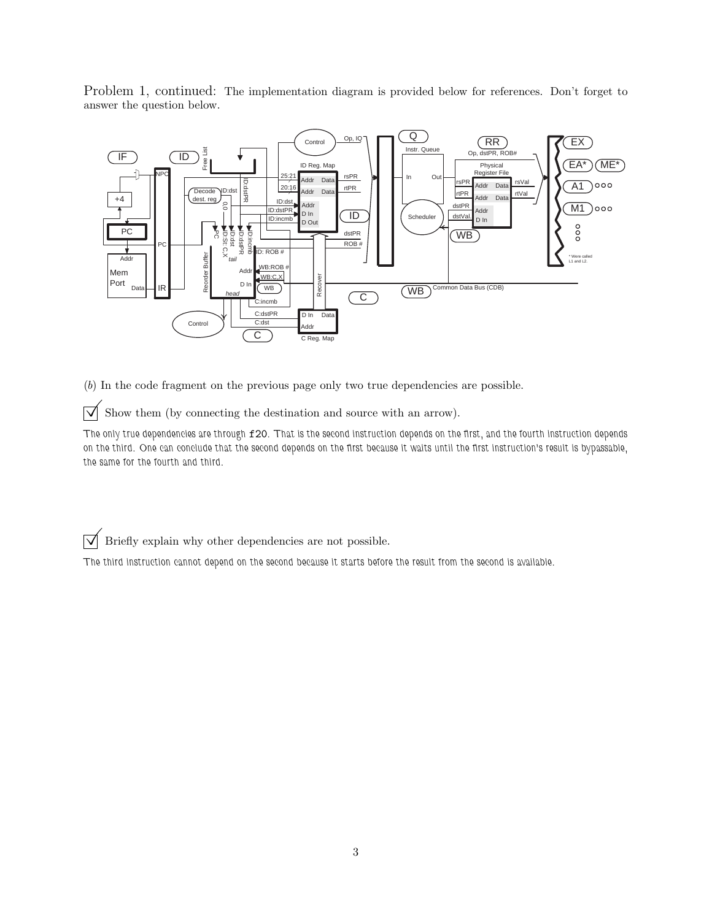Problem 1, continued: The implementation diagram is provided below for references. Don't forget to answer the question below.



(b) In the code fragment on the previous page only two true dependencies are possible.

 $\overrightarrow{\mathsf{N}}$  Show them (by connecting the destination and source with an arrow).

The only true dependencies are through f20. That is the second instruction depends on the first, and the fourth instruction depends on the third. One can conclude that the second depends on the first because it waits until the first instruction's result is bypassable, the same for the fourth and third.

 $\overrightarrow{\mathsf{V}}$  Briefly explain why other dependencies are not possible.

The third instruction cannot depend on the second because it starts before the result from the second is available.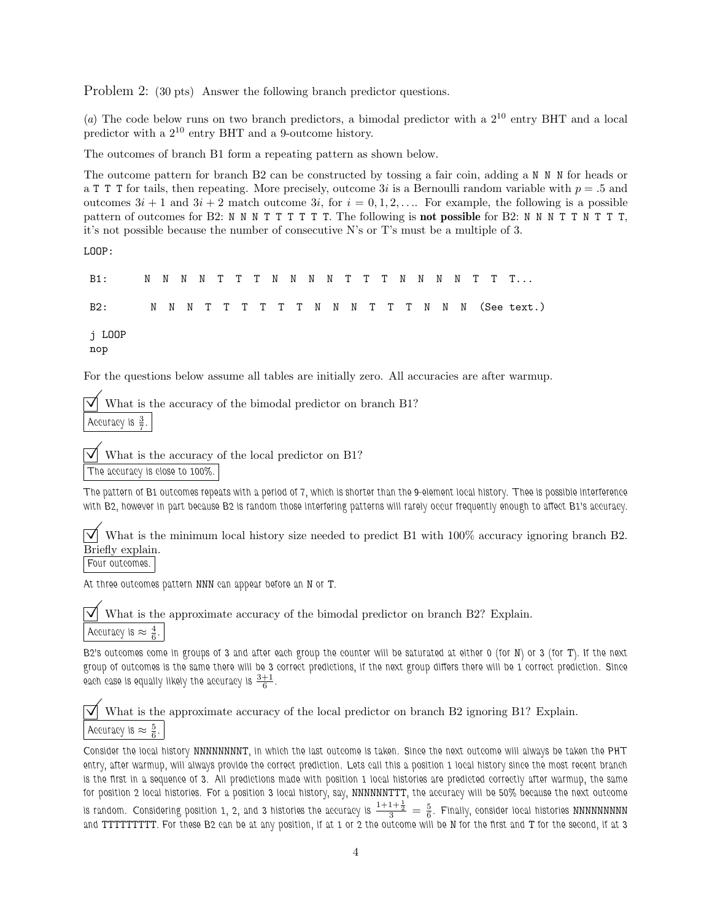Problem 2: (30 pts) Answer the following branch predictor questions.

(a) The code below runs on two branch predictors, a bimodal predictor with a  $2^{10}$  entry BHT and a local predictor with a 2<sup>10</sup> entry BHT and a 9-outcome history.

The outcomes of branch B1 form a repeating pattern as shown below.

The outcome pattern for branch B2 can be constructed by tossing a fair coin, adding a N N N for heads or a T T T for tails, then repeating. More precisely, outcome 3i is a Bernoulli random variable with  $p = .5$  and outcomes  $3i + 1$  and  $3i + 2$  match outcome  $3i$ , for  $i = 0, 1, 2, \ldots$  For example, the following is a possible pattern of outcomes for B2: N N N T T T T T T. The following is **not possible** for B2: N N N T T N T T T, it's not possible because the number of consecutive N's or T's must be a multiple of 3.

LOOP:

B1: N N N N T T T N N N N T T T N N N N T T T... B2: N N N T T T T T T N N N T T T N N N (See text.) j LOOP nop

For the questions below assume all tables are initially zero. All accuracies are after warmup.

What is the accuracy of the bimodal predictor on branch B1? Accuracy is  $\frac{3}{7}$ .

What is the accuracy of the local predictor on B1? The accuracy is close to 100%.

The pattern of B1 outcomes repeats with a period of 7, which is shorter than the 9-element local history. Thee is possible interference with B2, however in part because B2 is random those interfering patterns will rarely occur frequently enough to affect B1's accuracy.

 $\overline{\vee}$  What is the minimum local history size needed to predict B1 with 100% accuracy ignoring branch B2. Briefly explain.

Four outcomes.

At three outcomes pattern NNN can appear before an N or T.

What is the approximate accuracy of the bimodal predictor on branch B2? Explain. Accuracy is  $\approx \frac{4}{6}$ .

B2's outcomes come in groups of 3 and after each group the counter will be saturated at either 0 (for N) or 3 (for T). If the next group of outcomes is the same there will be 3 correct predictions, if the next group differs there will be 1 correct prediction. Since each case is equally likely the accuracy is  $\frac{3+1}{6}$ .

 $\overrightarrow{\mathcal{A}}$  What is the approximate accuracy of the local predictor on branch B2 ignoring B1? Explain. Accuracy is  $\approx \frac{5}{6}$ .

Consider the local history NNNNNNNNT, in which the last outcome is taken. Since the next outcome will always be taken the PHT entry, after warmup, will always provide the correct prediction. Lets call this a position 1 local history since the most recent branch is the first in a sequence of 3. All predictions made with position 1 local histories are predicted correctly after warmup, the same for position 2 local histories. For a position 3 local history, say, NNNNNNTTT, the accuracy will be 50% because the next outcome is random. Considering position 1, 2, and 3 histories the accuracy is  $\frac{1+1+\frac{1}{2}}{3}=\frac{5}{6}$ . Finally, consider local histories MNNNNNNN and TTTTTTTTT. For these B2 can be at any position, if at 1 or 2 the outcome will be N for the first and T for the second, if at 3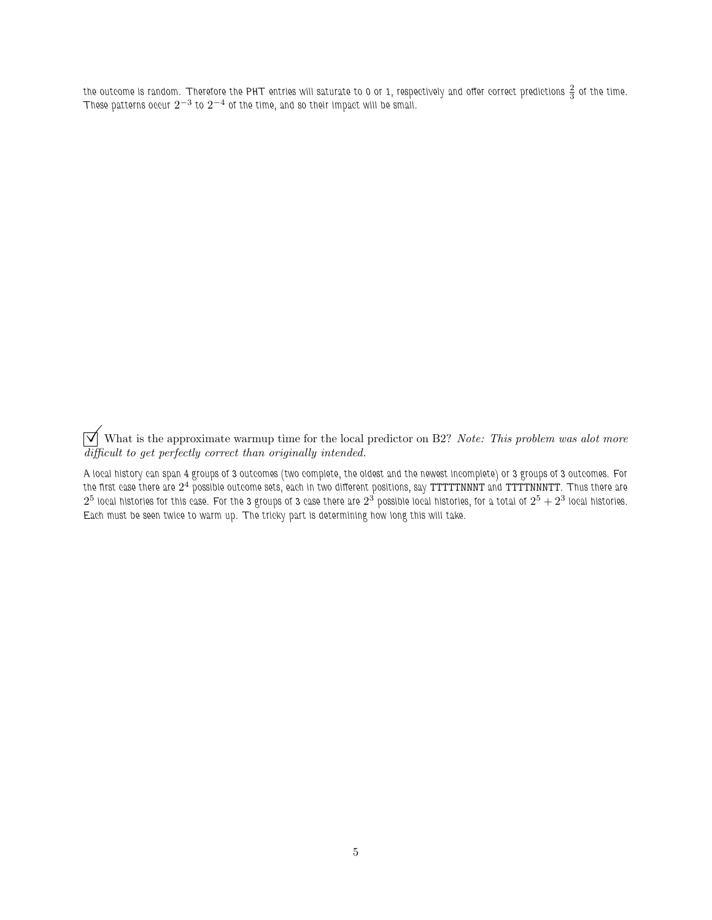the outcome is random. Therefore the PHT entries will saturate to 0 or 1, respectively and offer correct predictions  $\frac{2}{3}$  of the time. These patterns occur  $2^{-3}$  to  $2^{-4}$  of the time, and so their impact will be small.

 $\overrightarrow{\bigvee}$  What is the approximate warmup time for the local predictor on B2? Note: This problem was alot more difficult to get perfectly correct than originally intended.

A local history can span 4 groups of 3 outcomes (two complete, the oldest and the newest incomplete) or 3 groups of 3 outcomes. For the first case there are  $2^4$  possible outcome sets, each in two different positions, say <code>TTTTNNNT</code> and <code>TTTTNNNTT</code> . Thus there are  $2^5$  local histories for this case. For the 3 groups of 3 case there are  $2^3$  possible local histories, for a total of  $2^5+2^3$  local histories. Each must be seen twice to warm up. The tricky part is determining how long this will take.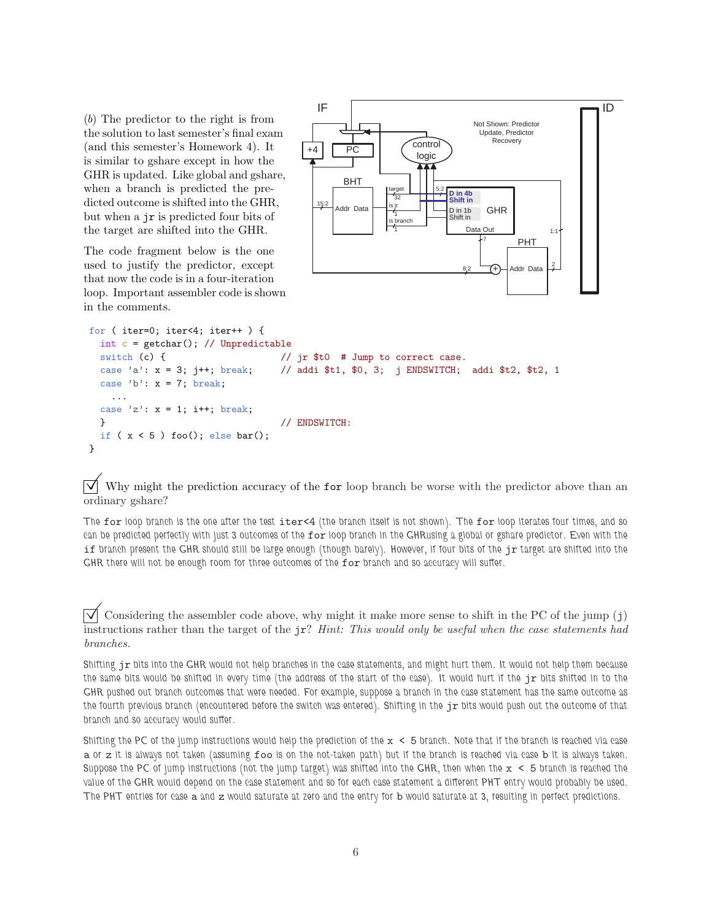(b) The predictor to the right is from the solution to last semester's final exam (and this semester's Homework 4). It is similar to gshare except in how the GHR is updated. Like global and gshare, when a branch is predicted the predicted outcome is shifted into the GHR, but when a jr is predicted four bits of the target are shifted into the GHR.

The code fragment below is the one used to justify the predictor, except that now the code is in a four-iteration loop. Important assembler code is shown in the comments.



```
for ( iter=0; iter<4; iter++ ) {
 int c = getchar(); // Unpredictable
 switch (c) { \frac{1}{2} // jr $t0 # Jump to correct case.
 case 'a': x = 3; j++; break; // addi $t1, $0, 3; j ENDSWITCH; addi $t2, $t2, 1
 case 'b': x = 7; break;
   ...
 case 'z : x = 1; i++; break;
 } // ENDSWITCH:
 if (x < 5) foo(); else bar();
}
```
Why might the prediction accuracy of the **for** loop branch be worse with the predictor above than an ordinary gshare?

The for loop branch is the one after the test iter<4 (the branch itself is not shown). The for loop iterates four times, and so can be predicted perfectly with just 3 outcomes of the for loop branch in the GHRusing a global or gshare predictor. Even with the if branch present the GHR should still be large enough (though barely). However, if four bits of the jr target are shifted into the GHR there will not be enough room for three outcomes of the for branch and so accuracy will suffer.

Considering the assembler code above, why might it make more sense to shift in the PC of the jump (j) instructions rather than the target of the jr? Hint: This would only be useful when the case statements had branches.

Shifting jr bits into the GHR would not help branches in the case statements, and might hurt them. It would not help them because the same bits would be shifted in every time (the address of the start of the case). It would hurt if the jr bits shifted in to the GHR pushed out branch outcomes that were needed. For example, suppose a branch in the case statement has the same outcome as the fourth previous branch (encountered before the switch was entered). Shifting in the  $j\tau$  bits would push out the outcome of that branch and so accuracy would suffer.

Shifting the PC of the jump instructions would help the prediction of the  $x < 5$  branch. Note that if the branch is reached via case a or z it is always not taken (assuming foo is on the not-taken path) but if the branch is reached via case b it is always taken. Suppose the PC of jump instructions (not the jump target) was shifted into the GHR, then when the  $x < 5$  branch is reached the value of the GHR would depend on the case statement and so for each case statement a different PHT entry would probably be used. The PHT entries for case a and z would saturate at zero and the entry for b would saturate at 3, resulting in perfect predictions.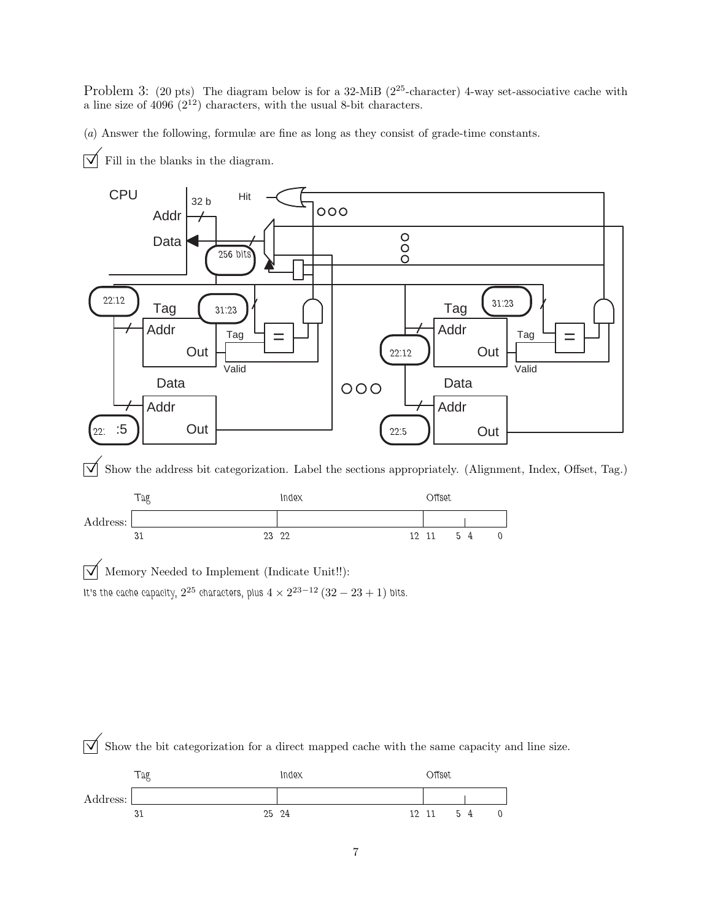Problem 3: (20 pts) The diagram below is for a 32-MiB ( $2^{25}$ -character) 4-way set-associative cache with a line size of  $4096 (2^{12})$  characters, with the usual 8-bit characters.

(a) Answer the following, formulæ are fine as long as they consist of grade-time constants.

 $\overrightarrow{\bigvee}$  Fill in the blanks in the diagram.



 $\overrightarrow{\mathcal{A}}$  Show the address bit categorization. Label the sections appropriately. (Alignment, Index, Offset, Tag.)



 $\sqrt{\phantom{a}}$  Memory Needed to Implement (Indicate Unit!!): It's the cache capacity,  $2^{25}$  characters, plus  $4\times 2^{23-12}\left(32-23+1\right)$  bits.



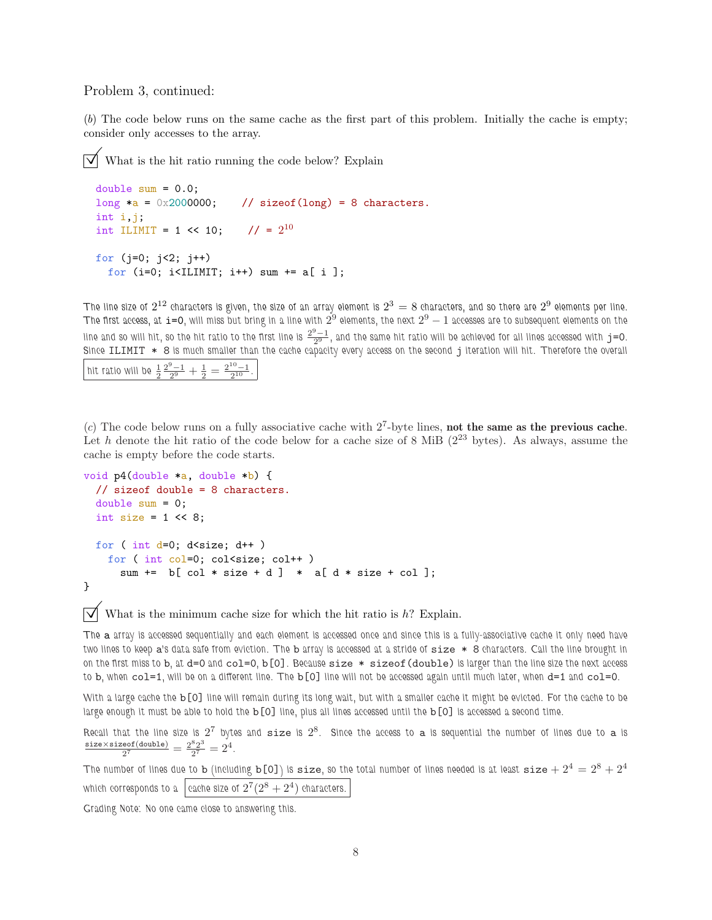## Problem 3, continued:

(b) The code below runs on the same cache as the first part of this problem. Initially the cache is empty; consider only accesses to the array.

What is the hit ratio running the code below? Explain

```
double sum = 0.0;
long a = 0x2000000; // sizeof(long) = 8 characters.
int i,j;
int ILIMIT = 1 << 10; // = 2^{10}for (j=0; j<2; j++)for (i=0; i<IIIMIT; i++) sum += a[i];
```
The line size of  $2^{12}$  characters is given, the size of an array element is  $2^3=8$  characters, and so there are  $2^9$  elements per line. The first access, at  ${\tt i=0}$ , will miss but bring in a line with  $2^9$  elements, the next  $2^9-1$  accesses are to subsequent elements on the line and so will hit, so the hit ratio to the first line is  $\frac{2^9-1}{2^9}$ , and the same hit ratio will be achieved for all lines accessed with  ${\tt j}=0$ . Since ILIMIT \* 8 is much smaller than the cache capacity every access on the second j iteration will hit. Therefore the overall hit ratio will be  $\frac{1}{2} \frac{2^9 - 1}{2^9} + \frac{1}{2} = \frac{2^{10} - 1}{2^{10}}$ .

(c) The code below runs on a fully associative cache with  $2^7$ -byte lines, not the same as the previous cache. Let h denote the hit ratio of the code below for a cache size of 8 MiB  $(2^{23}$  bytes). As always, assume the cache is empty before the code starts.

```
void p4(double *a, double *b) {
 // sizeof double = 8 characters.
  double sum = 0;
 int size = 1 \leq 8;
 for ( int d=0; d\times size; d++ )
   for ( int col=0; col<size; col++ )
      sum += b[col * size + d] * a[d * size + col];
}
```
 $\triangledown$  What is the minimum cache size for which the hit ratio is h? Explain.

The a array is accessed sequentially and each element is accessed once and since this is a fully-associative cache it only need have two lines to keep a's data safe from eviction. The b array is accessed at a stride of size \* 8 characters. Call the line brought in on the first miss to b, at d=0 and col=0, b[0]. Because size \* sizeof(double) is larger than the line size the next access to b, when col=1, will be on a different line. The b[O] line will not be accessed again until much later, when d=1 and col=0.

With a large cache the b<sup>[0]</sup> line will remain during its long wait, but with a smaller cache it might be evicted. For the cache to be large enough it must be able to hold the b[0] line, plus all lines accessed until the b[0] is accessed a second time.

Recall that the line size is  $2^7$  bytes and  $\tt size$  is  $2^8$ . Since the access to  $\tt a$  is sequential the number of lines due to  $\tt a$  is size×sizeof(double)  $\frac{\text{eof}(\text{double})}{2^7} = \frac{2^8 2^3}{2^7}$  $rac{82^3}{2^7} = 2^4$ .

The number of lines due to b (including b[0]) is size, so the total number of lines needed is at least size  $+2^4 = 2^8 + 2^4$ which corresponds to a  $\mid$  cache size of  $2^7 (2^8 + 2^4)$  characters.

Grading Note: No one came close to answering this.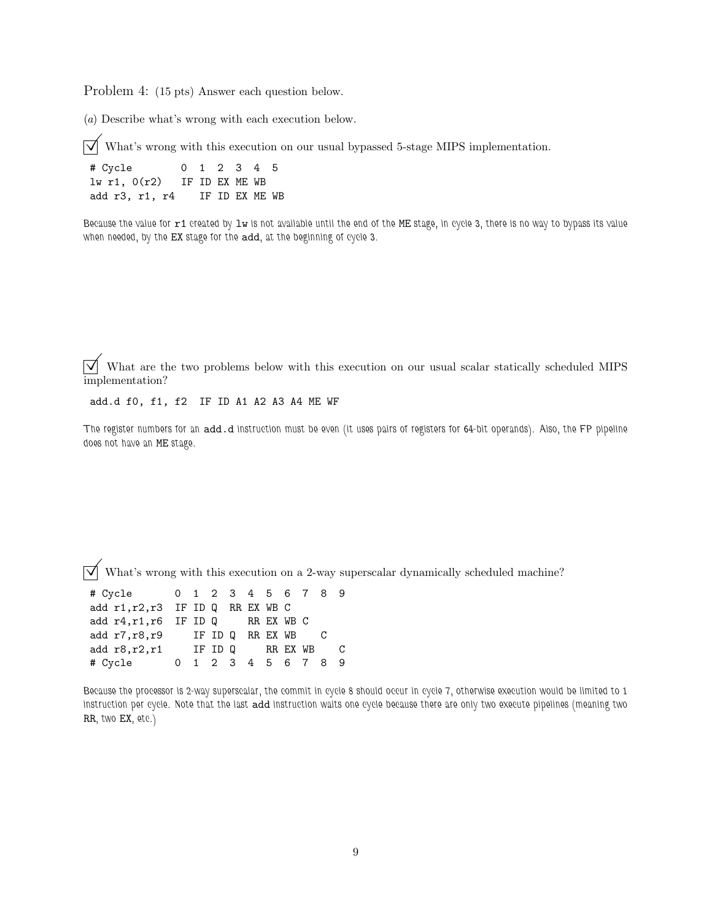Problem 4: (15 pts) Answer each question below.

(a) Describe what's wrong with each execution below.

 $\overrightarrow{\mathsf{M}}$  What's wrong with this execution on our usual bypassed 5-stage MIPS implementation.

# Cycle 0 1 2 3 4 5 lw r1, 0(r2) IF ID EX ME WB add r3, r1, r4 IF ID EX ME WB

Because the value for r1 created by 1w is not available until the end of the ME stage, in cycle 3, there is no way to bypass its value when needed, by the EX stage for the add, at the beginning of cycle 3.

 $\overrightarrow{\mathsf{M}}$  What are the two problems below with this execution on our usual scalar statically scheduled MIPS implementation?

add.d f0, f1, f2 IF ID A1 A2 A3 A4 ME WF

The register numbers for an add.d instruction must be even (it uses pairs of registers for 64-bit operands). Also, the FP pipeline does not have an ME stage.

 $\overline{\sqrt{\ }}$  What's wrong with this execution on a 2-way superscalar dynamically scheduled machine?

|  |  |  |                                   |                                                                        | C                                                                               |
|--|--|--|-----------------------------------|------------------------------------------------------------------------|---------------------------------------------------------------------------------|
|  |  |  |                                   |                                                                        |                                                                                 |
|  |  |  | add r1, r2, r3 IF ID Q RR EX WB C | add $r4, r1, r6$ IF ID Q RR EX WB C<br>add r7, r8, r9 IF ID Q RR EX WB | 0 1 2 3 4 5 6 7 8 9<br>add $r8, r2, r1$ IF ID Q RR EX WB<br>0 1 2 3 4 5 6 7 8 9 |

Because the processor is 2-way superscalar, the commit in cycle 8 should occur in cycle 7, otherwise execution would be limited to 1 instruction per cycle. Note that the last add instruction waits one cycle because there are only two execute pipelines (meaning two RR, two EX, etc.)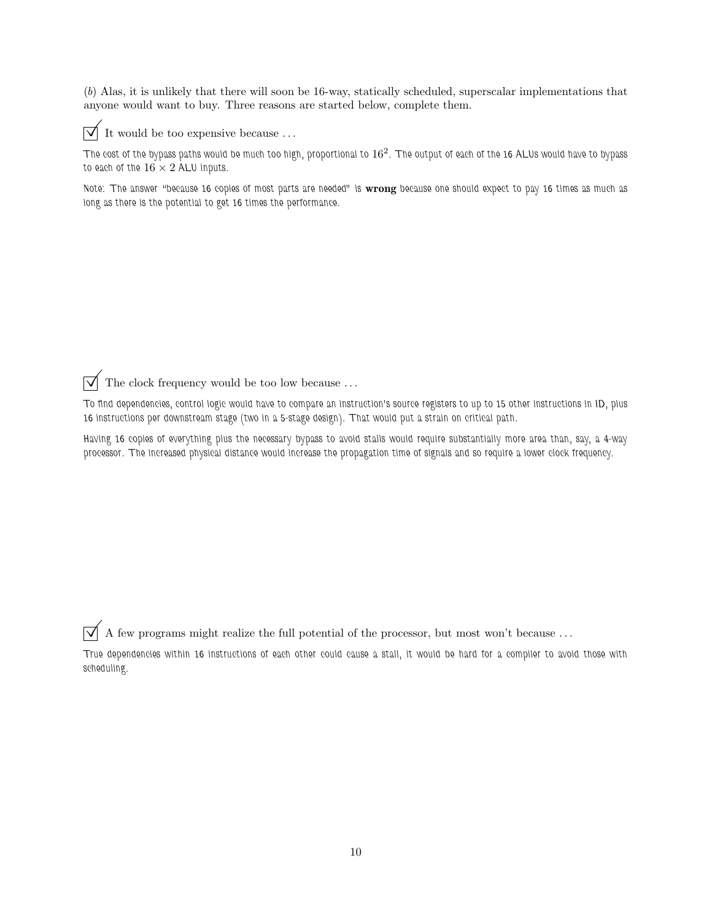(b) Alas, it is unlikely that there will soon be 16-way, statically scheduled, superscalar implementations that anyone would want to buy. Three reasons are started below, complete them.



 $\triangledown$  It would be too expensive because ...

The cost of the bypass paths would be much too high, proportional to  $16^2.$  The output of each of the 16 ALUs would have to bypass to each of the  $16 \times 2$  ALU inputs.

Note: The answer "because 16 copies of most parts are needed" is wrong because one should expect to pay 16 times as much as long as there is the potential to get 16 times the performance.

 $\overrightarrow{\mathcal{A}}$  The clock frequency would be too low because ...

To find dependencies, control logic would have to compare an instruction's source registers to up to 15 other instructions in ID, plus 16 instructions per downstream stage (two in a 5-stage design). That would put a strain on critical path.

Having 16 copies of everything plus the necessary bypass to avoid stalls would require substantially more area than, say, a 4-way processor. The increased physical distance would increase the propagation time of signals and so require a lower clock frequency.

 $\overrightarrow{V}$  A few programs might realize the full potential of the processor, but most won't because ...

True dependencies within 16 instructions of each other could cause a stall, it would be hard for a compiler to avoid those with scheduling.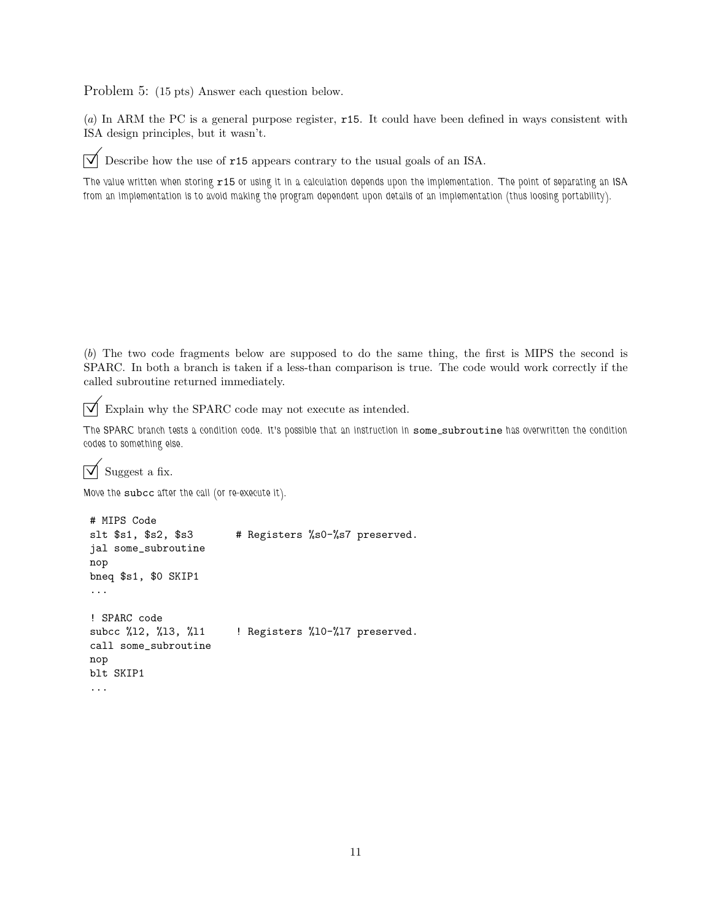Problem 5: (15 pts) Answer each question below.

(a) In ARM the PC is a general purpose register, r15. It could have been defined in ways consistent with ISA design principles, but it wasn't.

 $\overrightarrow{\mathcal{A}}$  Describe how the use of **r15** appears contrary to the usual goals of an ISA.

The value written when storing r15 or using it in a calculation depends upon the implementation. The point of separating an ISA from an implementation is to avoid making the program dependent upon details of an implementation (thus loosing portability).

(b) The two code fragments below are supposed to do the same thing, the first is MIPS the second is SPARC. In both a branch is taken if a less-than comparison is true. The code would work correctly if the called subroutine returned immediately.

 $\triangledown$  Explain why the SPARC code may not execute as intended.

The SPARC branch tests a condition code. It's possible that an instruction in some subroutine has overwritten the condition codes to something else.

 $\triangledown$  Suggest a fix.

Move the subcc after the call (or re-execute it).

```
# MIPS Code
slt $s1, $s2, $s3 # Registers %s0-%s7 preserved.
jal some_subroutine
nop
bneq $s1, $0 SKIP1
...
! SPARC code
subcc %12, %13, %11 | Registers %10-%17 preserved.
call some_subroutine
nop
blt SKIP1
...
```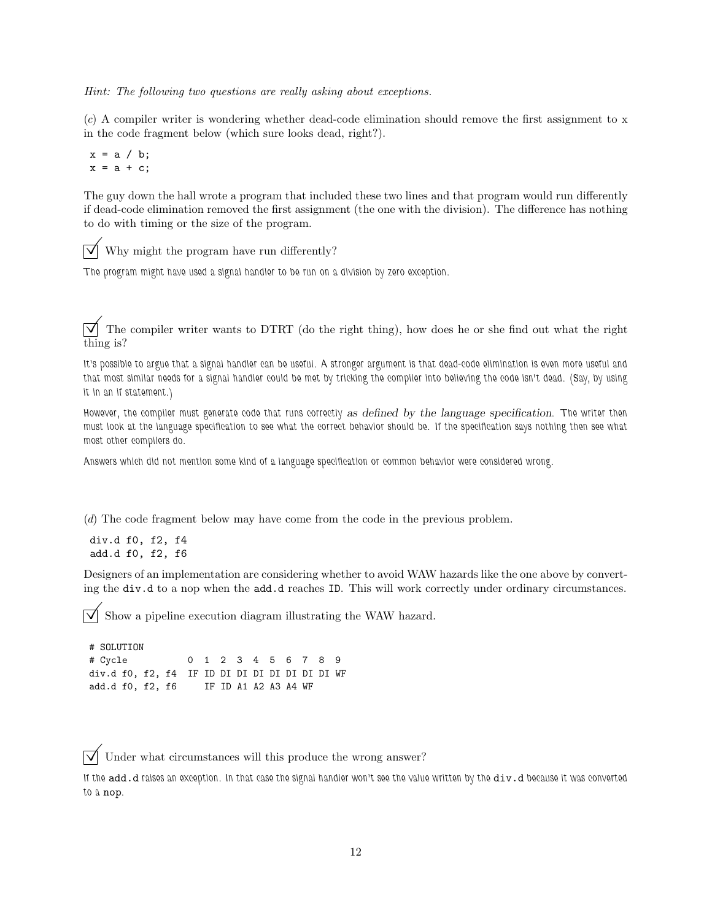Hint: The following two questions are really asking about exceptions.

(c) A compiler writer is wondering whether dead-code elimination should remove the first assignment to x in the code fragment below (which sure looks dead, right?).

 $x = a / b;$  $x = a + c$ ;

The guy down the hall wrote a program that included these two lines and that program would run differently if dead-code elimination removed the first assignment (the one with the division). The difference has nothing to do with timing or the size of the program.

 $\triangledown$  Why might the program have run differently?

The program might have used a signal handler to be run on a division by zero exception.

 $\overrightarrow{\mathbf{V}}$  The compiler writer wants to DTRT (do the right thing), how does he or she find out what the right thing is?

It's possible to argue that a signal handler can be useful. A stronger argument is that dead-code elimination is even more useful and that most similar needs for a signal handler could be met by tricking the compiler into believing the code isn't dead. (Say, by using it in an if statement.)

However, the compiler must generate code that runs correctly as defined by the language specification. The writer then must look at the language specification to see what the correct behavior should be. If the specification says nothing then see what most other compilers do.

Answers which did not mention some kind of a language specification or common behavior were considered wrong.

(d) The code fragment below may have come from the code in the previous problem.

div.d f0, f2, f4 add.d f0, f2, f6

Designers of an implementation are considering whether to avoid WAW hazards like the one above by converting the div.d to a nop when the add.d reaches ID. This will work correctly under ordinary circumstances.

Show a pipeline execution diagram illustrating the WAW hazard.

# SOLUTION # Cycle 0 1 2 3 4 5 6 7 8 9 div.d f0, f2, f4 IF ID DI DI DI DI DI DI DI WF add.d f0, f2, f6 IF ID A1 A2 A3 A4 WF

Under what circumstances will this produce the wrong answer?

If the add.d raises an exception. In that case the signal handler won't see the value written by the div.d because it was converted to a nop.